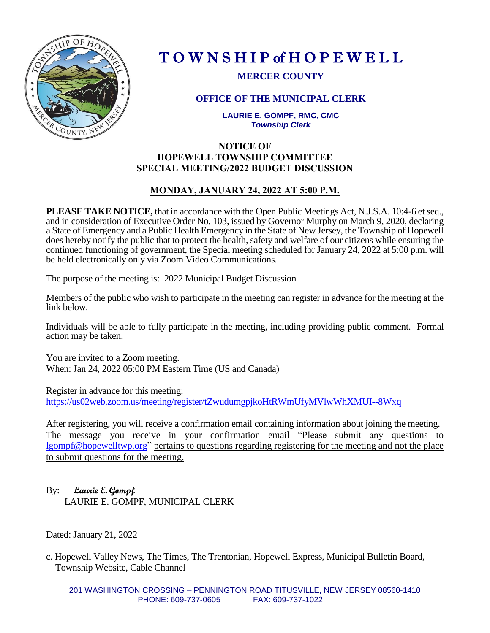

# T O W N S H I P of H O P E W E L L

**MERCER COUNTY**

# **OFFICE OF THE MUNICIPAL CLERK**

**LAURIE E. GOMPF, RMC, CMC** *Township Clerk*

# **NOTICE OF HOPEWELL TOWNSHIP COMMITTEE SPECIAL MEETING/2022 BUDGET DISCUSSION**

# **MONDAY, JANUARY 24, 2022 AT 5:00 P.M.**

**PLEASE TAKE NOTICE,** that in accordance with the Open Public Meetings Act, N.J.S.A. 10:4-6 et seq., and in consideration of Executive Order No. 103, issued by Governor Murphy on March 9, 2020, declaring a State of Emergency and a Public Health Emergency in the State of New Jersey, the Township of Hopewell does hereby notify the public that to protect the health, safety and welfare of our citizens while ensuring the continued functioning of government, the Special meeting scheduled for January 24, 2022 at 5:00 p.m. will be held electronically only via Zoom Video Communications.

The purpose of the meeting is: 2022 Municipal Budget Discussion

Members of the public who wish to participate in the meeting can register in advance for the meeting at the link below.

Individuals will be able to fully participate in the meeting, including providing public comment. Formal action may be taken.

You are invited to a Zoom meeting. When: Jan 24, 2022 05:00 PM Eastern Time (US and Canada)

Register in advance for this meeting: <https://us02web.zoom.us/meeting/register/tZwudumgpjkoHtRWmUfyMVlwWhXMUI--8Wxq>

After registering, you will receive a confirmation email containing information about joining the meeting. The message you receive in your confirmation email "Please submit any questions to [lgompf@hopewelltwp.org"](mailto:lgompf@hopewelltwp.org) pertains to questions regarding registering for the meeting and not the place to submit questions for the meeting.

By: **Laurie E. Gompf**  LAURIE E. GOMPF, MUNICIPAL CLERK

Dated: January 21, 2022

c. Hopewell Valley News, The Times, The Trentonian, Hopewell Express, Municipal Bulletin Board, Township Website, Cable Channel